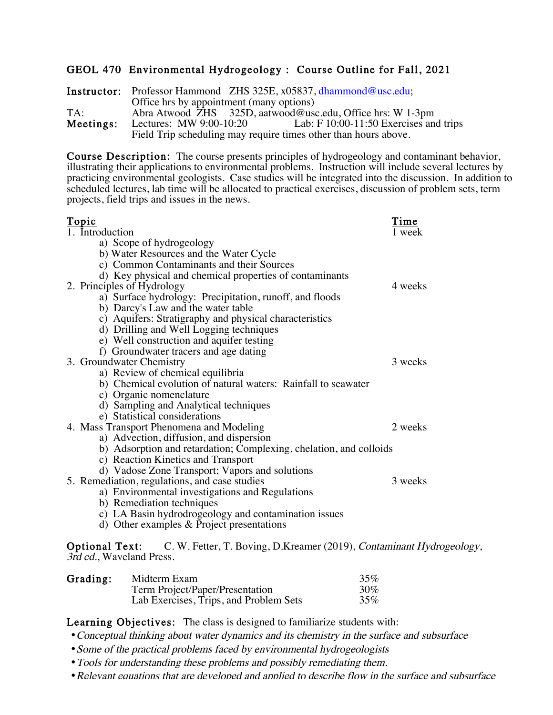## GEOL 470 Environmental Hydrogeology : Course Outline for Fall, 2021

Instructor: Professor Hammond ZHS 325E, x05837, dhammond@usc.edu; Office hrs by appointment (many options) TA: Abra Atwood ZHS 325D, aatwood@usc.edu, Office hrs: W 1-3pm<br> **Meetings:** Lectures: MW 9:00-10:20 Lab: F 10:00-11:50 Exercises and Lectures: MW 9:00-10:20 Lab: F 10:00-11:50 Exercises and trips<br>Field Trip scheduling may require times other than hours above.

**Course Description:** The course presents principles of hydrogeology and contaminant behavior, illustrating their applications to environmental problems. Instruction will include several lectures by practicing environmental geologists. Case studies will be integrated into the discussion. In addition to scheduled lectures, lab time will be allocated to practical exercises, discussion of problem sets, term projects, field trips and issues in the news.

| <u>Topic</u>                                                                       | Time    |
|------------------------------------------------------------------------------------|---------|
| 1. Introduction                                                                    | 1 week  |
| a) Scope of hydrogeology                                                           |         |
| b) Water Resources and the Water Cycle                                             |         |
| c) Common Contaminants and their Sources                                           |         |
| d) Key physical and chemical properties of contaminants                            |         |
| 2. Principles of Hydrology                                                         | 4 weeks |
| a) Surface hydrology: Precipitation, runoff, and floods                            |         |
| b) Darcy's Law and the water table                                                 |         |
| c) Aquifers: Stratigraphy and physical characteristics                             |         |
| d) Drilling and Well Logging techniques                                            |         |
| e) Well construction and aquifer testing                                           |         |
| f) Groundwater tracers and age dating                                              |         |
| 3. Groundwater Chemistry                                                           | 3 weeks |
| a) Review of chemical equilibria                                                   |         |
| b) Chemical evolution of natural waters: Rainfall to seawater                      |         |
| c) Organic nomenclature                                                            |         |
| d) Sampling and Analytical techniques                                              |         |
| e) Statistical considerations                                                      |         |
| 4. Mass Transport Phenomena and Modeling                                           | 2 weeks |
| a) Advection, diffusion, and dispersion                                            |         |
| b) Adsorption and retardation; Complexing, chelation, and colloids                 |         |
| c) Reaction Kinetics and Transport                                                 |         |
| d) Vadose Zone Transport; Vapors and solutions                                     |         |
| 5. Remediation, regulations, and case studies                                      | 3 weeks |
| a) Environmental investigations and Regulations                                    |         |
| b) Remediation techniques                                                          |         |
| c) LA Basin hydrodrogeology and contamination issues                               |         |
| d) Other examples & Project presentations                                          |         |
|                                                                                    |         |
| Optional Text: C.W. Fetter, T. Boving, D.Kreamer (2019), Contaminant Hydrogeology, |         |
| 3rd ed., Waveland Press.                                                           |         |
|                                                                                    |         |

| Grading: | Midterm Exam                           | 35%    |
|----------|----------------------------------------|--------|
|          | Term Project/Paper/Presentation        | $30\%$ |
|          | Lab Exercises, Trips, and Problem Sets | 35%    |

Learning Objectives: The class is designed to familiarize students with:

•Conceptual thinking about water dynamics and its chemistry in the surface and subsurface

- Some of the practical problems faced by environmental hydrogeologists
- •Tools for understanding these problems and possibly remediating them.
- Relevant equations that are developed and applied to describe flow in the surface and subsurface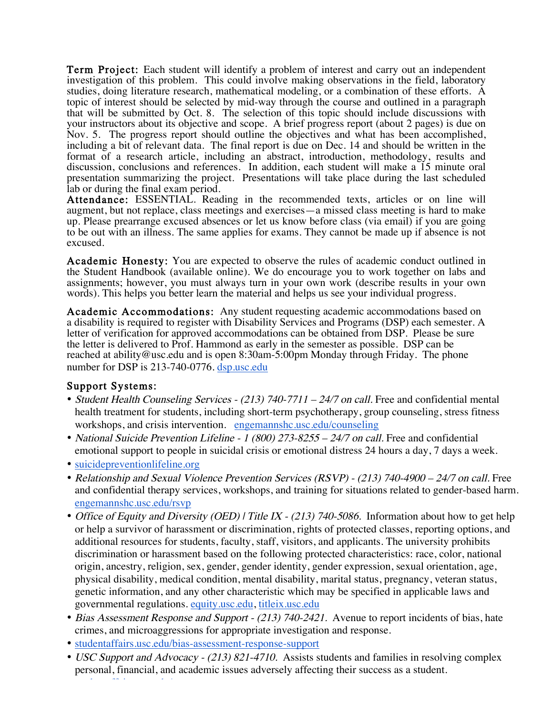Term Project: Each student will identify a problem of interest and carry out an independent investigation of this problem. This could involve making observations in the field, laboratory studies, doing literature research, mathematical modeling, or a combination of these efforts. A topic of interest should be selected by mid-way through the course and outlined in a paragraph that will be submitted by Oct. 8. The selection of this topic should include discussions with your instructors about its objective and scope. A brief progress report (about 2 pages) is due on Nov. 5. The progress report should outline the objectives and what has been accomplished, including a bit of relevant data. The final report is due on Dec. 14 and should be written in the format of a research article, including an abstract, introduction, methodology, results and discussion, conclusions and references. In addition, each student will make a 15 minute oral presentation summarizing the project. Presentations will take place during the last scheduled lab or during the final exam period.

Attendance: ESSENTIAL. Reading in the recommended texts, articles or on line will augment, but not replace, class meetings and exercises—a missed class meeting is hard to make up. Please prearrange excused absences or let us know before class (via email) if you are going to be out with an illness. The same applies for exams. They cannot be made up if absence is not excused.

Academic Honesty: You are expected to observe the rules of academic conduct outlined in the Student Handbook (available online). We do encourage you to work together on labs and assignments; however, you must always turn in your own work (describe results in your own words). This helps you better learn the material and helps us see your individual progress.

Academic Accommodations: Any student requesting academic accommodations based on a disability is required to register with Disability Services and Programs (DSP) each semester. A letter of verification for approved accommodations can be obtained from DSP. Please be sure the letter is delivered to Prof. Hammond as early in the semester as possible. DSP can be reached at ability@usc.edu and is open 8:30am-5:00pm Monday through Friday. The phone number for DSP is 213-740-0776. dsp.usc.edu

## Support Systems:

- Student Health Counseling Services (213) 740-7711 24/7 on call. Free and confidential mental health treatment for students, including short-term psychotherapy, group counseling, stress fitness workshops, and crisis intervention. engemannshc.usc.edu/counseling
- National Suicide Prevention Lifeline 1 (800) 273-8255 24/7 on call. Free and confidential emotional support to people in suicidal crisis or emotional distress 24 hours a day, 7 days a week.
- suicidepreventionlifeline.org

studentaffairs.usc.edu/ssa

- Relationship and Sexual Violence Prevention Services (RSVP) (213) 740-4900 24/7 on call. Free and confidential therapy services, workshops, and training for situations related to gender-based harm. engemannshc.usc.edu/rsvp
- Office of Equity and Diversity (OED) | Title IX (213) 740-5086. Information about how to get help or help a survivor of harassment or discrimination, rights of protected classes, reporting options, and additional resources for students, faculty, staff, visitors, and applicants. The university prohibits discrimination or harassment based on the following protected characteristics: race, color, national origin, ancestry, religion, sex, gender, gender identity, gender expression, sexual orientation, age, physical disability, medical condition, mental disability, marital status, pregnancy, veteran status, genetic information, and any other characteristic which may be specified in applicable laws and governmental regulations. equity.usc.edu, titleix.usc.edu
- Bias Assessment Response and Support (213) 740-2421. Avenue to report incidents of bias, hate crimes, and microaggressions for appropriate investigation and response.
- studentaffairs.usc.edu/bias-assessment-response-support
- USC Support and Advocacy (213) 821-4710. Assists students and families in resolving complex personal, financial, and academic issues adversely affecting their success as a student.